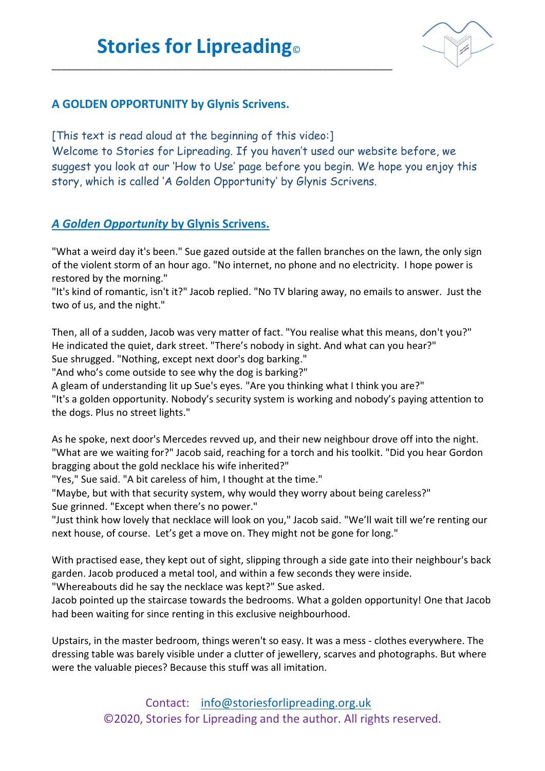\_\_\_\_\_\_\_\_\_\_\_\_\_\_\_\_\_\_\_\_\_\_\_\_\_\_\_\_\_\_\_\_\_\_\_\_\_\_\_\_\_\_\_\_\_\_\_\_\_\_\_\_\_\_\_\_\_\_\_\_\_\_\_\_\_\_\_\_



## **A GOLDEN OPPORTUNITY by Glynis Scrivens.**

[This text is read aloud at the beginning of this video:] Welcome to Stories for Lipreading. If you haven't used our website before, we suggest you look at our 'How to Use' page before you begin. We hope you enjoy this story, which is called 'A Golden Opportunity' by Glynis Scrivens.

## *A Golden Opportunity* **by Glynis Scrivens.**

"What a weird day it's been." Sue gazed outside at the fallen branches on the lawn, the only sign of the violent storm of an hour ago. "No internet, no phone and no electricity. I hope power is restored by the morning."

"It's kind of romantic, isn't it?" Jacob replied. "No TV blaring away, no emails to answer. Just the two of us, and the night."

Then, all of a sudden, Jacob was very matter of fact. "You realise what this means, don't you?" He indicated the quiet, dark street. "There's nobody in sight. And what can you hear?" Sue shrugged. "Nothing, except next door's dog barking."

"And who's come outside to see why the dog is barking?"

A gleam of understanding lit up Sue's eyes. "Are you thinking what I think you are?"

"It's a golden opportunity. Nobody's security system is working and nobody's paying attention to the dogs. Plus no street lights."

As he spoke, next door's Mercedes revved up, and their new neighbour drove off into the night. "What are we waiting for?" Jacob said, reaching for a torch and his toolkit. "Did you hear Gordon bragging about the gold necklace his wife inherited?"

"Yes," Sue said. "A bit careless of him, I thought at the time."

"Maybe, but with that security system, why would they worry about being careless?" Sue grinned. "Except when there's no power."

"Just think how lovely that necklace will look on you," Jacob said. "We'll wait till we're renting our next house, of course. Let's get a move on. They might not be gone for long."

With practised ease, they kept out of sight, slipping through a side gate into their neighbour's back garden. Jacob produced a metal tool, and within a few seconds they were inside.

"Whereabouts did he say the necklace was kept?" Sue asked.

Jacob pointed up the staircase towards the bedrooms. What a golden opportunity! One that Jacob had been waiting for since renting in this exclusive neighbourhood.

Upstairs, in the master bedroom, things weren't so easy. It was a mess - clothes everywhere. The dressing table was barely visible under a clutter of jewellery, scarves and photographs. But where were the valuable pieces? Because this stuff was all imitation.

> Contact: [info@storiesforlipreading.org.uk](mailto:info@storiesforlipreading.org.uk) ©2020, Stories for Lipreading and the author. All rights reserved.